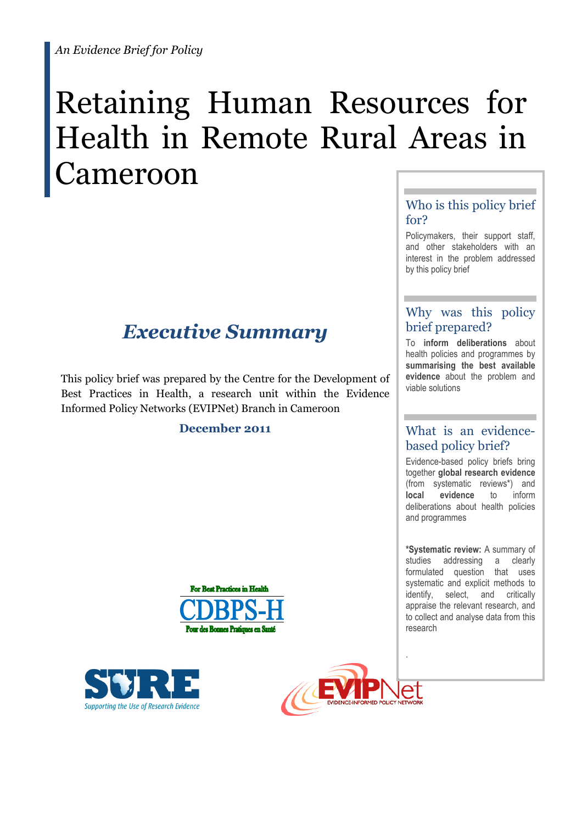# Retaining Human Resources for Health in Remote Rural Areas in ameroon

## *Executive Summary*

This policy brief was prepared by the Centre for the Development of Best Practices in Health, a research unit within the Evidence Informed Policy Networks (EVIPNet) Branch in Cameroon

## **December 2011**







## Who is this policy brief for?

Policymakers, their support staff, and other stakeholders with an interest in the problem addressed by this policy brief

## Why was this policy brief prepared?

To **inform deliberations** about health policies and programmes by **summarising the best available evidence** about the problem and viable solutions

## What is an evidencebased policy brief?

Evidence-based policy briefs bring together **global research evidence** (from systematic reviews\*) and **local evidence** to inform deliberations about health policies and programmes

**\*Systematic review:** A summary of studies addressing a clearly formulated question that uses systematic and explicit methods to identify, select, and critically appraise the relevant research, and to collect and analyse data from this research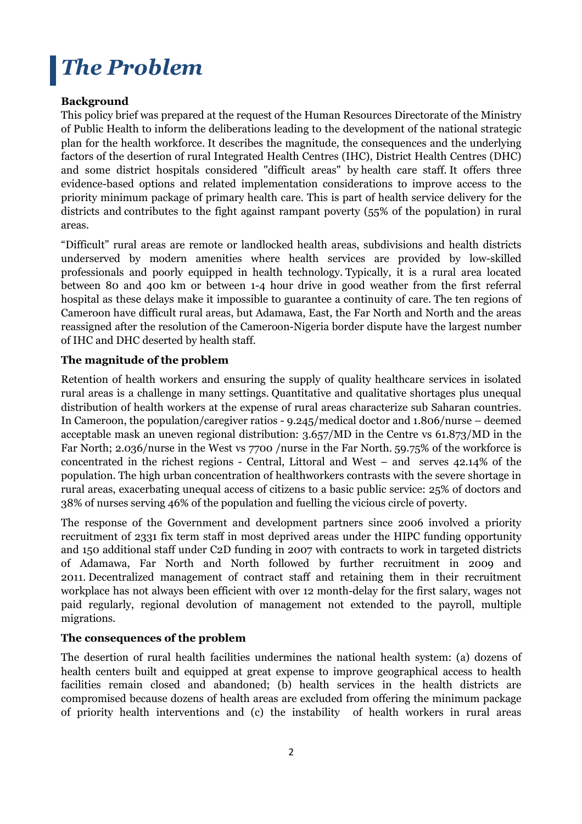## *The Problem*

## **Background**

This policy brief was prepared at the request of the Human Resources Directorate of the Ministry of Public Health to inform the deliberations leading to the development of the national strategic plan for the health workforce. It describes the magnitude, the consequences and the underlying factors of the desertion of rural Integrated Health Centres (IHC), District Health Centres (DHC) and some district hospitals considered "difficult areas" by health care staff. It offers three evidence-based options and related implementation considerations to improve access to the priority minimum package of primary health care. This is part of health service delivery for the districts and contributes to the fight against rampant poverty (55% of the population) in rural areas.

"Difficult" rural areas are remote or landlocked health areas, subdivisions and health districts underserved by modern amenities where health services are provided by low-skilled professionals and poorly equipped in health technology. Typically, it is a rural area located between 80 and 400 km or between 1-4 hour drive in good weather from the first referral hospital as these delays make it impossible to guarantee a continuity of care. The ten regions of Cameroon have difficult rural areas, but Adamawa, East, the Far North and North and the areas reassigned after the resolution of the Cameroon-Nigeria border dispute have the largest number of IHC and DHC deserted by health staff.

### **The magnitude of the problem**

Retention of health workers and ensuring the supply of quality healthcare services in isolated rural areas is a challenge in many settings. Quantitative and qualitative shortages plus unequal distribution of health workers at the expense of rural areas characterize sub Saharan countries. In Cameroon, the population/caregiver ratios - 9.245/medical doctor and 1.806/nurse – deemed acceptable mask an uneven regional distribution: 3.657/MD in the Centre vs 61.873/MD in the Far North; 2.036/nurse in the West vs 7700 /nurse in the Far North. 59.75% of the workforce is concentrated in the richest regions - Central, Littoral and West – and serves 42.14% of the population. The high urban concentration of healthworkers contrasts with the severe shortage in rural areas, exacerbating unequal access of citizens to a basic public service: 25% of doctors and 38% of nurses serving 46% of the population and fuelling the vicious circle of poverty.

The response of the Government and development partners since 2006 involved a priority recruitment of 2331 fix term staff in most deprived areas under the HIPC funding opportunity and 150 additional staff under C2D funding in 2007 with contracts to work in targeted districts of Adamawa, Far North and North followed by further recruitment in 2009 and 2011. Decentralized management of contract staff and retaining them in their recruitment workplace has not always been efficient with over 12 month-delay for the first salary, wages not paid regularly, regional devolution of management not extended to the payroll, multiple migrations.

## **The consequences of the problem**

The desertion of rural health facilities undermines the national health system: (a) dozens of health centers built and equipped at great expense to improve geographical access to health facilities remain closed and abandoned; (b) health services in the health districts are compromised because dozens of health areas are excluded from offering the minimum package of priority health interventions and (c) the instability of health workers in rural areas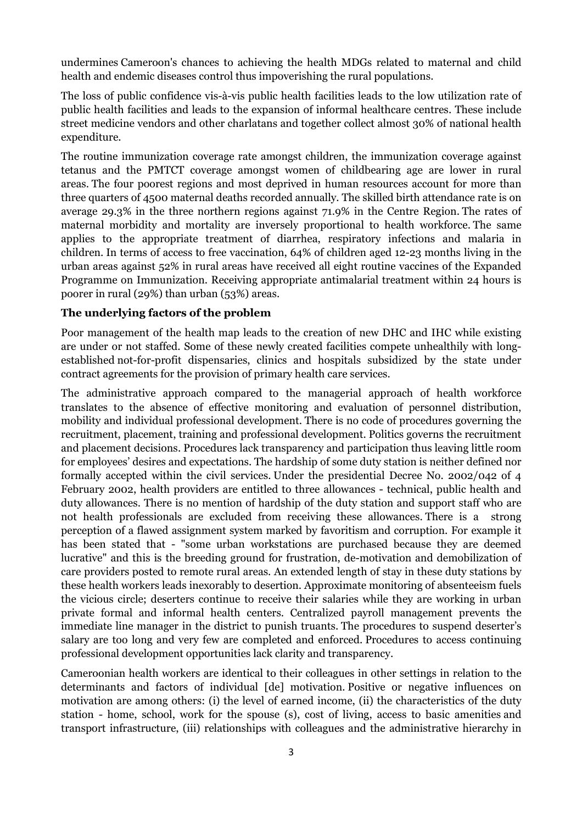undermines Cameroon's chances to achieving the health MDGs related to maternal and child health and endemic diseases control thus impoverishing the rural populations.

The loss of public confidence vis-à-vis public health facilities leads to the low utilization rate of public health facilities and leads to the expansion of informal healthcare centres. These include street medicine vendors and other charlatans and together collect almost 30% of national health expenditure.

The routine immunization coverage rate amongst children, the immunization coverage against tetanus and the PMTCT coverage amongst women of childbearing age are lower in rural areas. The four poorest regions and most deprived in human resources account for more than three quarters of 4500 maternal deaths recorded annually. The skilled birth attendance rate is on average 29.3% in the three northern regions against 71.9% in the Centre Region. The rates of maternal morbidity and mortality are inversely proportional to health workforce. The same applies to the appropriate treatment of diarrhea, respiratory infections and malaria in children. In terms of access to free vaccination, 64% of children aged 12-23 months living in the urban areas against 52% in rural areas have received all eight routine vaccines of the Expanded Programme on Immunization. Receiving appropriate antimalarial treatment within 24 hours is poorer in rural (29%) than urban (53%) areas.

#### **The underlying factors of the problem**

Poor management of the health map leads to the creation of new DHC and IHC while existing are under or not staffed. Some of these newly created facilities compete unhealthily with longestablished not-for-profit dispensaries, clinics and hospitals subsidized by the state under contract agreements for the provision of primary health care services.

The administrative approach compared to the managerial approach of health workforce translates to the absence of effective monitoring and evaluation of personnel distribution, mobility and individual professional development. There is no code of procedures governing the recruitment, placement, training and professional development. Politics governs the recruitment and placement decisions. Procedures lack transparency and participation thus leaving little room for employees' desires and expectations. The hardship of some duty station is neither defined nor formally accepted within the civil services. Under the presidential Decree No. 2002/042 of 4 February 2002, health providers are entitled to three allowances - technical, public health and duty allowances. There is no mention of hardship of the duty station and support staff who are not health professionals are excluded from receiving these allowances. There is a strong perception of a flawed assignment system marked by favoritism and corruption. For example it has been stated that - "some urban workstations are purchased because they are deemed lucrative" and this is the breeding ground for frustration, de-motivation and demobilization of care providers posted to remote rural areas. An extended length of stay in these duty stations by these health workers leads inexorably to desertion. Approximate monitoring of absenteeism fuels the vicious circle; deserters continue to receive their salaries while they are working in urban private formal and informal health centers. Centralized payroll management prevents the immediate line manager in the district to punish truants. The procedures to suspend deserter's salary are too long and very few are completed and enforced. Procedures to access continuing professional development opportunities lack clarity and transparency.

Cameroonian health workers are identical to their colleagues in other settings in relation to the determinants and factors of individual [de] motivation. Positive or negative influences on motivation are among others: (i) the level of earned income, (ii) the characteristics of the duty station - home, school, work for the spouse (s), cost of living, access to basic amenities and transport infrastructure, (iii) relationships with colleagues and the administrative hierarchy in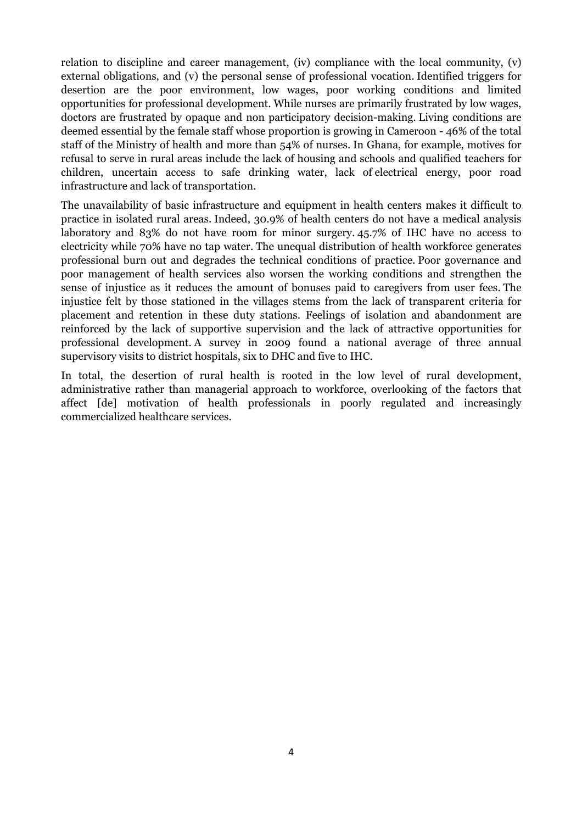relation to discipline and career management, (iv) compliance with the local community, (v) external obligations, and (v) the personal sense of professional vocation. Identified triggers for desertion are the poor environment, low wages, poor working conditions and limited opportunities for professional development. While nurses are primarily frustrated by low wages, doctors are frustrated by opaque and non participatory decision-making. Living conditions are deemed essential by the female staff whose proportion is growing in Cameroon - 46% of the total staff of the Ministry of health and more than 54% of nurses. In Ghana, for example, motives for refusal to serve in rural areas include the lack of housing and schools and qualified teachers for children, uncertain access to safe drinking water, lack of electrical energy, poor road infrastructure and lack of transportation.

The unavailability of basic infrastructure and equipment in health centers makes it difficult to practice in isolated rural areas. Indeed, 30.9% of health centers do not have a medical analysis laboratory and 83% do not have room for minor surgery. 45.7% of IHC have no access to electricity while 70% have no tap water. The unequal distribution of health workforce generates professional burn out and degrades the technical conditions of practice. Poor governance and poor management of health services also worsen the working conditions and strengthen the sense of injustice as it reduces the amount of bonuses paid to caregivers from user fees. The injustice felt by those stationed in the villages stems from the lack of transparent criteria for placement and retention in these duty stations. Feelings of isolation and abandonment are reinforced by the lack of supportive supervision and the lack of attractive opportunities for professional development. A survey in 2009 found a national average of three annual supervisory visits to district hospitals, six to DHC and five to IHC.

In total, the desertion of rural health is rooted in the low level of rural development, administrative rather than managerial approach to workforce, overlooking of the factors that affect [de] motivation of health professionals in poorly regulated and increasingly commercialized healthcare services.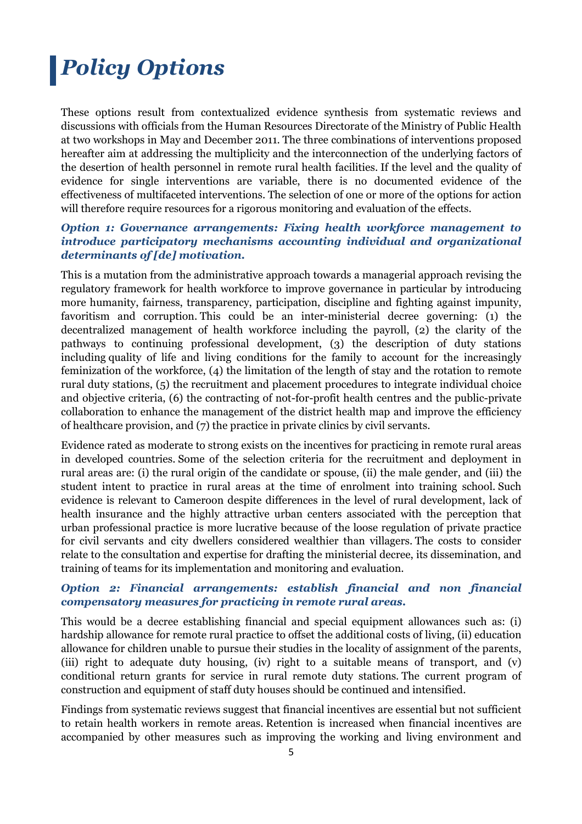## *Policy Options*

These options result from contextualized evidence synthesis from systematic reviews and discussions with officials from the Human Resources Directorate of the Ministry of Public Health at two workshops in May and December 2011. The three combinations of interventions proposed hereafter aim at addressing the multiplicity and the interconnection of the underlying factors of the desertion of health personnel in remote rural health facilities. If the level and the quality of evidence for single interventions are variable, there is no documented evidence of the effectiveness of multifaceted interventions. The selection of one or more of the options for action will therefore require resources for a rigorous monitoring and evaluation of the effects.

### *Option 1: Governance arrangements: Fixing health workforce management to introduce participatory mechanisms accounting individual and organizational determinants of [de] motivation.*

This is a mutation from the administrative approach towards a managerial approach revising the regulatory framework for health workforce to improve governance in particular by introducing more humanity, fairness, transparency, participation, discipline and fighting against impunity, favoritism and corruption. This could be an inter-ministerial decree governing: (1) the decentralized management of health workforce including the payroll, (2) the clarity of the pathways to continuing professional development, (3) the description of duty stations including quality of life and living conditions for the family to account for the increasingly feminization of the workforce, (4) the limitation of the length of stay and the rotation to remote rural duty stations, (5) the recruitment and placement procedures to integrate individual choice and objective criteria, (6) the contracting of not-for-profit health centres and the public-private collaboration to enhance the management of the district health map and improve the efficiency of healthcare provision, and (7) the practice in private clinics by civil servants.

Evidence rated as moderate to strong exists on the incentives for practicing in remote rural areas in developed countries. Some of the selection criteria for the recruitment and deployment in rural areas are: (i) the rural origin of the candidate or spouse, (ii) the male gender, and (iii) the student intent to practice in rural areas at the time of enrolment into training school. Such evidence is relevant to Cameroon despite differences in the level of rural development, lack of health insurance and the highly attractive urban centers associated with the perception that urban professional practice is more lucrative because of the loose regulation of private practice for civil servants and city dwellers considered wealthier than villagers. The costs to consider relate to the consultation and expertise for drafting the ministerial decree, its dissemination, and training of teams for its implementation and monitoring and evaluation.

### *Option 2: Financial arrangements: establish financial and non financial compensatory measures for practicing in remote rural areas.*

This would be a decree establishing financial and special equipment allowances such as: (i) hardship allowance for remote rural practice to offset the additional costs of living, (ii) education allowance for children unable to pursue their studies in the locality of assignment of the parents, (iii) right to adequate duty housing, (iv) right to a suitable means of transport, and (v) conditional return grants for service in rural remote duty stations. The current program of construction and equipment of staff duty houses should be continued and intensified.

Findings from systematic reviews suggest that financial incentives are essential but not sufficient to retain health workers in remote areas. Retention is increased when financial incentives are accompanied by other measures such as improving the working and living environment and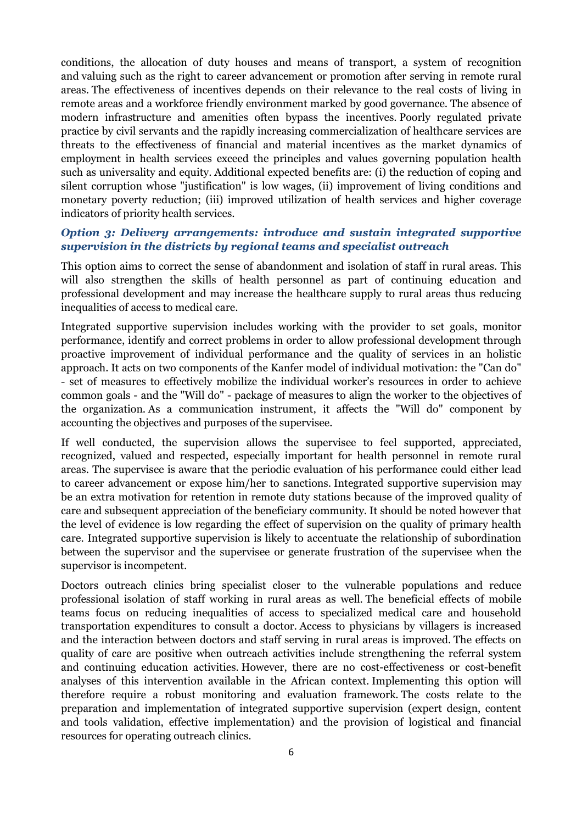conditions, the allocation of duty houses and means of transport, a system of recognition and valuing such as the right to career advancement or promotion after serving in remote rural areas. The effectiveness of incentives depends on their relevance to the real costs of living in remote areas and a workforce friendly environment marked by good governance. The absence of modern infrastructure and amenities often bypass the incentives. Poorly regulated private practice by civil servants and the rapidly increasing commercialization of healthcare services are threats to the effectiveness of financial and material incentives as the market dynamics of employment in health services exceed the principles and values governing population health such as universality and equity. Additional expected benefits are: (i) the reduction of coping and silent corruption whose "justification" is low wages, (ii) improvement of living conditions and monetary poverty reduction; (iii) improved utilization of health services and higher coverage indicators of priority health services.

### *Option 3: Delivery arrangements: introduce and sustain integrated supportive supervision in the districts by regional teams and specialist outreach*

This option aims to correct the sense of abandonment and isolation of staff in rural areas. This will also strengthen the skills of health personnel as part of continuing education and professional development and may increase the healthcare supply to rural areas thus reducing inequalities of access to medical care.

Integrated supportive supervision includes working with the provider to set goals, monitor performance, identify and correct problems in order to allow professional development through proactive improvement of individual performance and the quality of services in an holistic approach. It acts on two components of the Kanfer model of individual motivation: the "Can do" - set of measures to effectively mobilize the individual worker's resources in order to achieve common goals - and the "Will do" - package of measures to align the worker to the objectives of the organization. As a communication instrument, it affects the "Will do" component by accounting the objectives and purposes of the supervisee.

If well conducted, the supervision allows the supervisee to feel supported, appreciated, recognized, valued and respected, especially important for health personnel in remote rural areas. The supervisee is aware that the periodic evaluation of his performance could either lead to career advancement or expose him/her to sanctions. Integrated supportive supervision may be an extra motivation for retention in remote duty stations because of the improved quality of care and subsequent appreciation of the beneficiary community. It should be noted however that the level of evidence is low regarding the effect of supervision on the quality of primary health care. Integrated supportive supervision is likely to accentuate the relationship of subordination between the supervisor and the supervisee or generate frustration of the supervisee when the supervisor is incompetent.

Doctors outreach clinics bring specialist closer to the vulnerable populations and reduce professional isolation of staff working in rural areas as well. The beneficial effects of mobile teams focus on reducing inequalities of access to specialized medical care and household transportation expenditures to consult a doctor. Access to physicians by villagers is increased and the interaction between doctors and staff serving in rural areas is improved. The effects on quality of care are positive when outreach activities include strengthening the referral system and continuing education activities. However, there are no cost-effectiveness or cost-benefit analyses of this intervention available in the African context. Implementing this option will therefore require a robust monitoring and evaluation framework. The costs relate to the preparation and implementation of integrated supportive supervision (expert design, content and tools validation, effective implementation) and the provision of logistical and financial resources for operating outreach clinics.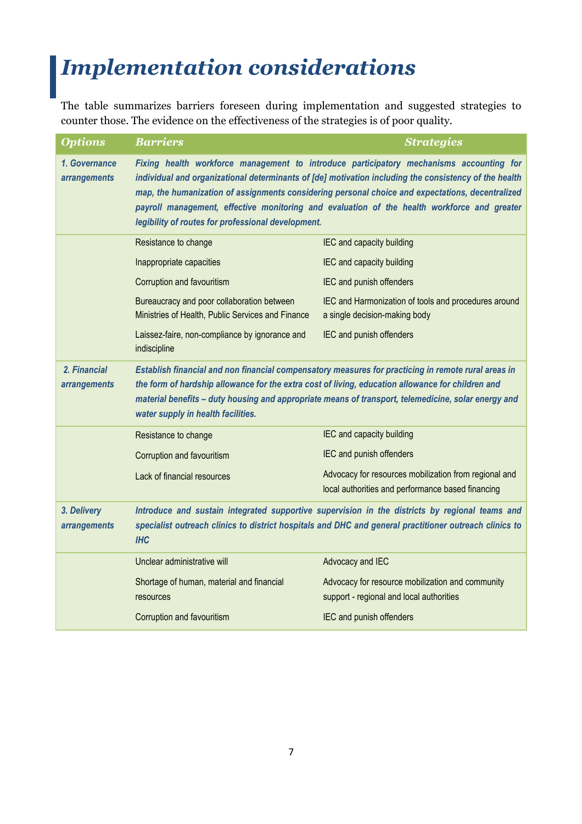## *Implementation considerations*

The table summarizes barriers foreseen during implementation and suggested strategies to counter those. The evidence on the effectiveness of the strategies is of poor quality.

| <b>Options</b>                      | <b>Barriers</b>                                                                                                                                                                                                                                                                                                                                                                                                                                           | <b>Strategies</b>                                                                                          |
|-------------------------------------|-----------------------------------------------------------------------------------------------------------------------------------------------------------------------------------------------------------------------------------------------------------------------------------------------------------------------------------------------------------------------------------------------------------------------------------------------------------|------------------------------------------------------------------------------------------------------------|
| 1. Governance<br>arrangements       | Fixing health workforce management to introduce participatory mechanisms accounting for<br>individual and organizational determinants of [de] motivation including the consistency of the health<br>map, the humanization of assignments considering personal choice and expectations, decentralized<br>payroll management, effective monitoring and evaluation of the health workforce and greater<br>legibility of routes for professional development. |                                                                                                            |
|                                     | Resistance to change                                                                                                                                                                                                                                                                                                                                                                                                                                      | IEC and capacity building                                                                                  |
|                                     | Inappropriate capacities                                                                                                                                                                                                                                                                                                                                                                                                                                  | IEC and capacity building                                                                                  |
|                                     | Corruption and favouritism                                                                                                                                                                                                                                                                                                                                                                                                                                | IEC and punish offenders                                                                                   |
|                                     | Bureaucracy and poor collaboration between<br>Ministries of Health, Public Services and Finance                                                                                                                                                                                                                                                                                                                                                           | IEC and Harmonization of tools and procedures around<br>a single decision-making body                      |
|                                     | Laissez-faire, non-compliance by ignorance and<br>indiscipline                                                                                                                                                                                                                                                                                                                                                                                            | IEC and punish offenders                                                                                   |
| 2. Financial<br><i>arrangements</i> | Establish financial and non financial compensatory measures for practicing in remote rural areas in<br>the form of hardship allowance for the extra cost of living, education allowance for children and<br>material benefits - duty housing and appropriate means of transport, telemedicine, solar energy and<br>water supply in health facilities.                                                                                                     |                                                                                                            |
|                                     | Resistance to change                                                                                                                                                                                                                                                                                                                                                                                                                                      | IEC and capacity building                                                                                  |
|                                     | Corruption and favouritism                                                                                                                                                                                                                                                                                                                                                                                                                                | IEC and punish offenders                                                                                   |
|                                     | Lack of financial resources                                                                                                                                                                                                                                                                                                                                                                                                                               | Advocacy for resources mobilization from regional and<br>local authorities and performance based financing |
| 3. Delivery<br><i>arrangements</i>  | Introduce and sustain integrated supportive supervision in the districts by regional teams and<br>specialist outreach clinics to district hospitals and DHC and general practitioner outreach clinics to<br><b>IHC</b>                                                                                                                                                                                                                                    |                                                                                                            |
|                                     | Unclear administrative will                                                                                                                                                                                                                                                                                                                                                                                                                               | Advocacy and IEC                                                                                           |
|                                     | Shortage of human, material and financial                                                                                                                                                                                                                                                                                                                                                                                                                 | Advocacy for resource mobilization and community                                                           |
|                                     | resources                                                                                                                                                                                                                                                                                                                                                                                                                                                 | support - regional and local authorities                                                                   |
|                                     | Corruption and favouritism                                                                                                                                                                                                                                                                                                                                                                                                                                | IEC and punish offenders                                                                                   |